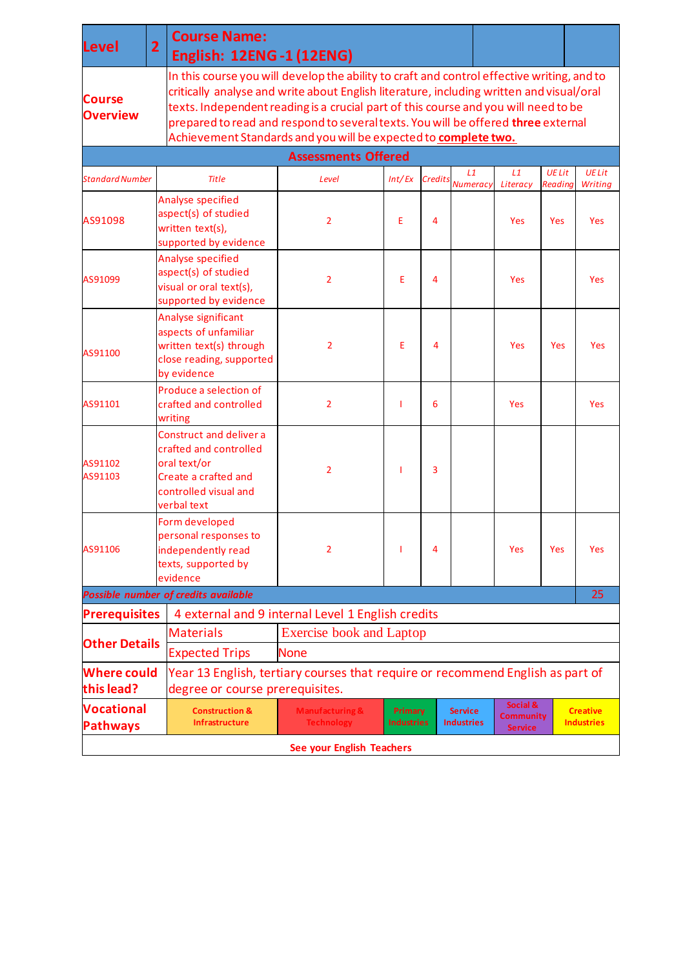| <b>Level</b>                         | $\overline{2}$                                                                                                                        | <b>Course Name:</b><br><b>English: 12ENG-1 (12ENG)</b>                                                                                                                                                                                                                                                                                                                                                                                |                                                                                                                   |                                         |                |                                      |                |                                 |                          |  |  |  |
|--------------------------------------|---------------------------------------------------------------------------------------------------------------------------------------|---------------------------------------------------------------------------------------------------------------------------------------------------------------------------------------------------------------------------------------------------------------------------------------------------------------------------------------------------------------------------------------------------------------------------------------|-------------------------------------------------------------------------------------------------------------------|-----------------------------------------|----------------|--------------------------------------|----------------|---------------------------------|--------------------------|--|--|--|
| <b>Course</b><br><b>Overview</b>     |                                                                                                                                       | In this course you will develop the ability to craft and control effective writing, and to<br>critically analyse and write about English literature, including written and visual/oral<br>texts. Independent reading is a crucial part of this course and you will need to be<br>prepared to read and respond to several texts. You will be offered three external<br>Achievement Standards and you will be expected to complete two. |                                                                                                                   |                                         |                |                                      |                |                                 |                          |  |  |  |
| <b>Assessments Offered</b>           |                                                                                                                                       |                                                                                                                                                                                                                                                                                                                                                                                                                                       |                                                                                                                   |                                         |                |                                      |                |                                 |                          |  |  |  |
| <b>Standard Number</b>               |                                                                                                                                       | <b>Title</b>                                                                                                                                                                                                                                                                                                                                                                                                                          | Level                                                                                                             | Int/Ex                                  | <b>Credits</b> | L1<br><b>Numeracy</b>                | L1<br>Literacy | <b>UE Lit</b><br><b>Readina</b> | <b>UE Lit</b><br>Writing |  |  |  |
| AS91098                              |                                                                                                                                       | Analyse specified<br>aspect(s) of studied<br>written text(s),<br>supported by evidence                                                                                                                                                                                                                                                                                                                                                | $\overline{2}$                                                                                                    | Е                                       | 4              |                                      | Yes            | Yes                             | <b>Yes</b>               |  |  |  |
| AS91099                              |                                                                                                                                       | Analyse specified<br>aspect(s) of studied<br>visual or oral text(s),<br>supported by evidence                                                                                                                                                                                                                                                                                                                                         | $\overline{2}$                                                                                                    | E                                       | 4              |                                      | <b>Yes</b>     |                                 | <b>Yes</b>               |  |  |  |
| AS91100                              |                                                                                                                                       | Analyse significant<br>aspects of unfamiliar<br>written text(s) through<br>close reading, supported<br>by evidence                                                                                                                                                                                                                                                                                                                    | 2                                                                                                                 | Ε                                       | 4              |                                      | Yes            | Yes                             | Yes                      |  |  |  |
| AS91101                              |                                                                                                                                       | Produce a selection of<br>crafted and controlled<br>writing                                                                                                                                                                                                                                                                                                                                                                           | $\overline{2}$                                                                                                    |                                         | 6              |                                      | <b>Yes</b>     |                                 | <b>Yes</b>               |  |  |  |
| AS91102<br>AS91103                   |                                                                                                                                       | <b>Construct and deliver a</b><br>crafted and controlled<br>oral text/or<br>Create a crafted and<br>controlled visual and<br>verbal text                                                                                                                                                                                                                                                                                              | $\overline{2}$                                                                                                    |                                         | 3              |                                      |                |                                 |                          |  |  |  |
| AS91106                              |                                                                                                                                       | Form developed<br>personal responses to<br>independently read<br>texts, supported by<br>evidence                                                                                                                                                                                                                                                                                                                                      | 2                                                                                                                 |                                         | 4              |                                      | Yes            | Yes                             | Yes                      |  |  |  |
|                                      |                                                                                                                                       | Possible number of credits available                                                                                                                                                                                                                                                                                                                                                                                                  |                                                                                                                   |                                         |                |                                      |                |                                 | 25                       |  |  |  |
| <b>Prerequisites</b>                 |                                                                                                                                       |                                                                                                                                                                                                                                                                                                                                                                                                                                       | 4 external and 9 internal Level 1 English credits                                                                 |                                         |                |                                      |                |                                 |                          |  |  |  |
| <b>Other Details</b>                 |                                                                                                                                       | <b>Exercise book and Laptop</b><br><b>Materials</b>                                                                                                                                                                                                                                                                                                                                                                                   |                                                                                                                   |                                         |                |                                      |                |                                 |                          |  |  |  |
|                                      |                                                                                                                                       | <b>Expected Trips</b><br><b>None</b>                                                                                                                                                                                                                                                                                                                                                                                                  |                                                                                                                   |                                         |                |                                      |                |                                 |                          |  |  |  |
| <b>Where could</b><br>this lead?     |                                                                                                                                       |                                                                                                                                                                                                                                                                                                                                                                                                                                       | Year 13 English, tertiary courses that require or recommend English as part of<br>degree or course prerequisites. |                                         |                |                                      |                |                                 |                          |  |  |  |
| <b>Vocational</b><br><b>Pathways</b> | <b>Construction &amp;</b><br><b>Manufacturing &amp;</b><br><b>Primary</b><br><b>Industries</b><br>Infrastructure<br><b>Technology</b> |                                                                                                                                                                                                                                                                                                                                                                                                                                       | <b>Service</b><br><b>Industries</b>                                                                               | Social &<br>Community<br><b>Service</b> |                | <b>Creative</b><br><b>Industries</b> |                |                                 |                          |  |  |  |
| See your English Teachers            |                                                                                                                                       |                                                                                                                                                                                                                                                                                                                                                                                                                                       |                                                                                                                   |                                         |                |                                      |                |                                 |                          |  |  |  |